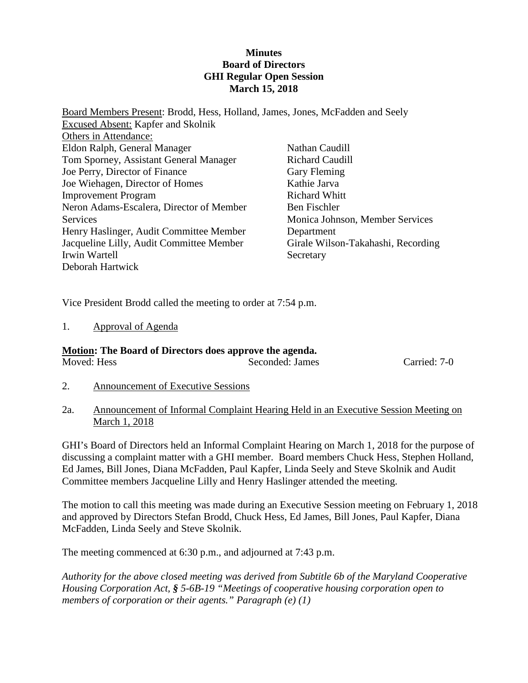#### **Minutes Board of Directors GHI Regular Open Session March 15, 2018**

Board Members Present: Brodd, Hess, Holland, James, Jones, McFadden and Seely Excused Absent: Kapfer and Skolnik Others in Attendance: Eldon Ralph, General Manager Tom Sporney, Assistant General Manager Joe Perry, Director of Finance Joe Wiehagen, Director of Homes Improvement Program Neron Adams-Escalera, Director of Member **Services** Henry Haslinger, Audit Committee Member Jacqueline Lilly, Audit Committee Member Irwin Wartell Deborah Hartwick Nathan Caudill Richard Caudill Gary Fleming Kathie Jarva Richard Whitt Ben Fischler Monica Johnson, Member Services Department Girale Wilson-Takahashi, Recording Secretary

Vice President Brodd called the meeting to order at 7:54 p.m.

1. Approval of Agenda

#### **Motion: The Board of Directors does approve the agenda.** Moved: Hess Seconded: James Carried: 7-0

- 2. Announcement of Executive Sessions
- 2a. Announcement of Informal Complaint Hearing Held in an Executive Session Meeting on March 1, 2018

GHI's Board of Directors held an Informal Complaint Hearing on March 1, 2018 for the purpose of discussing a complaint matter with a GHI member. Board members Chuck Hess, Stephen Holland, Ed James, Bill Jones, Diana McFadden, Paul Kapfer, Linda Seely and Steve Skolnik and Audit Committee members Jacqueline Lilly and Henry Haslinger attended the meeting.

The motion to call this meeting was made during an Executive Session meeting on February 1, 2018 and approved by Directors Stefan Brodd, Chuck Hess, Ed James, Bill Jones, Paul Kapfer, Diana McFadden, Linda Seely and Steve Skolnik.

The meeting commenced at 6:30 p.m., and adjourned at 7:43 p.m.

*Authority for the above closed meeting was derived from Subtitle 6b of the Maryland Cooperative Housing Corporation Act, § 5-6B-19 "Meetings of cooperative housing corporation open to members of corporation or their agents." Paragraph (e) (1)*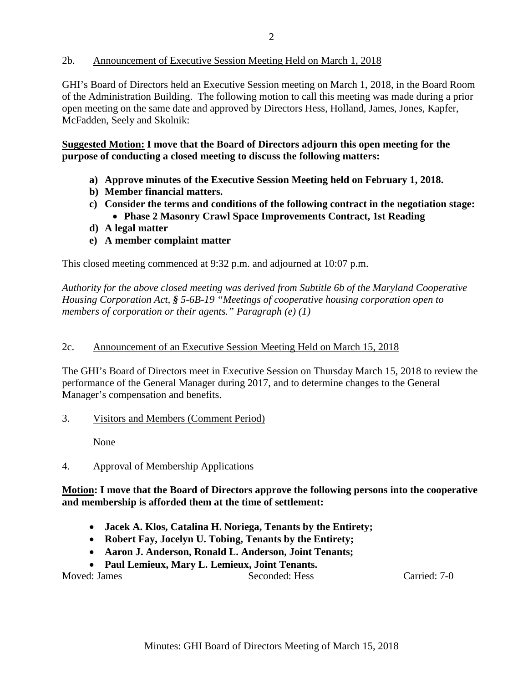#### 2b. Announcement of Executive Session Meeting Held on March 1, 2018

GHI's Board of Directors held an Executive Session meeting on March 1, 2018, in the Board Room of the Administration Building. The following motion to call this meeting was made during a prior open meeting on the same date and approved by Directors Hess, Holland, James, Jones, Kapfer, McFadden, Seely and Skolnik:

**Suggested Motion: I move that the Board of Directors adjourn this open meeting for the purpose of conducting a closed meeting to discuss the following matters:**

- **a) Approve minutes of the Executive Session Meeting held on February 1, 2018.**
- **b) Member financial matters.**
- **c) Consider the terms and conditions of the following contract in the negotiation stage:** • **Phase 2 Masonry Crawl Space Improvements Contract, 1st Reading**
- **d) A legal matter**
- **e) A member complaint matter**

This closed meeting commenced at 9:32 p.m. and adjourned at 10:07 p.m.

*Authority for the above closed meeting was derived from Subtitle 6b of the Maryland Cooperative Housing Corporation Act, § 5-6B-19 "Meetings of cooperative housing corporation open to members of corporation or their agents." Paragraph (e) (1)*

#### 2c. Announcement of an Executive Session Meeting Held on March 15, 2018

The GHI's Board of Directors meet in Executive Session on Thursday March 15, 2018 to review the performance of the General Manager during 2017, and to determine changes to the General Manager's compensation and benefits.

3. Visitors and Members (Comment Period)

None

#### 4. Approval of Membership Applications

**Motion: I move that the Board of Directors approve the following persons into the cooperative and membership is afforded them at the time of settlement:**

- **Jacek A. Klos, Catalina H. Noriega, Tenants by the Entirety;**
- **Robert Fay, Jocelyn U. Tobing, Tenants by the Entirety;**
- **Aaron J. Anderson, Ronald L. Anderson, Joint Tenants;**
- **Paul Lemieux, Mary L. Lemieux, Joint Tenants.**

Moved: James Seconded: Hess Carried: 7-0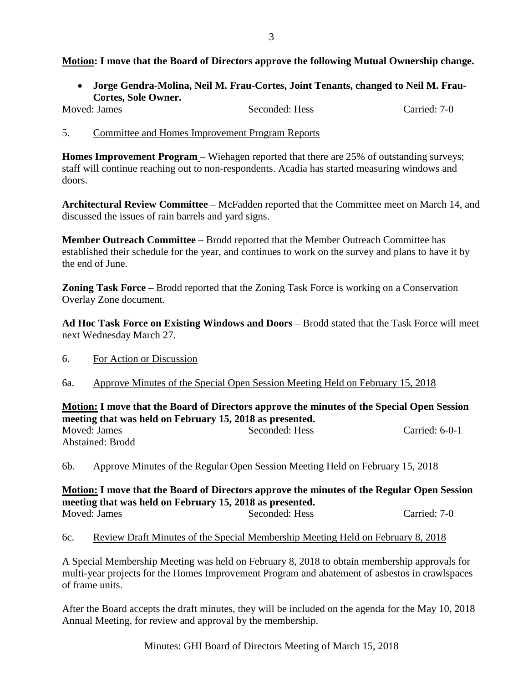### **Motion: I move that the Board of Directors approve the following Mutual Ownership change.**

• **Jorge Gendra-Molina, Neil M. Frau-Cortes, Joint Tenants, changed to Neil M. Frau-Cortes, Sole Owner.**

Moved: James Seconded: Hess Carried: 7-0

5. Committee and Homes Improvement Program Reports

**Homes Improvement Program** – Wiehagen reported that there are 25% of outstanding surveys; staff will continue reaching out to non-respondents. Acadia has started measuring windows and doors.

**Architectural Review Committee** – McFadden reported that the Committee meet on March 14, and discussed the issues of rain barrels and yard signs.

**Member Outreach Committee** – Brodd reported that the Member Outreach Committee has established their schedule for the year, and continues to work on the survey and plans to have it by the end of June.

**Zoning Task Force** – Brodd reported that the Zoning Task Force is working on a Conservation Overlay Zone document.

**Ad Hoc Task Force on Existing Windows and Doors** – Brodd stated that the Task Force will meet next Wednesday March 27.

- 6. For Action or Discussion
- 6a. Approve Minutes of the Special Open Session Meeting Held on February 15, 2018

**Motion: I move that the Board of Directors approve the minutes of the Special Open Session meeting that was held on February 15, 2018 as presented.**

| Moved: James     | Seconded: Hess | Carried: $6-0-1$ |
|------------------|----------------|------------------|
| Abstained: Brodd |                |                  |

6b. Approve Minutes of the Regular Open Session Meeting Held on February 15, 2018

**Motion: I move that the Board of Directors approve the minutes of the Regular Open Session meeting that was held on February 15, 2018 as presented.** Moved: James Seconded: Hess Carried: 7-0

6c. Review Draft Minutes of the Special Membership Meeting Held on February 8, 2018

A Special Membership Meeting was held on February 8, 2018 to obtain membership approvals for multi-year projects for the Homes Improvement Program and abatement of asbestos in crawlspaces of frame units.

After the Board accepts the draft minutes, they will be included on the agenda for the May 10, 2018 Annual Meeting, for review and approval by the membership.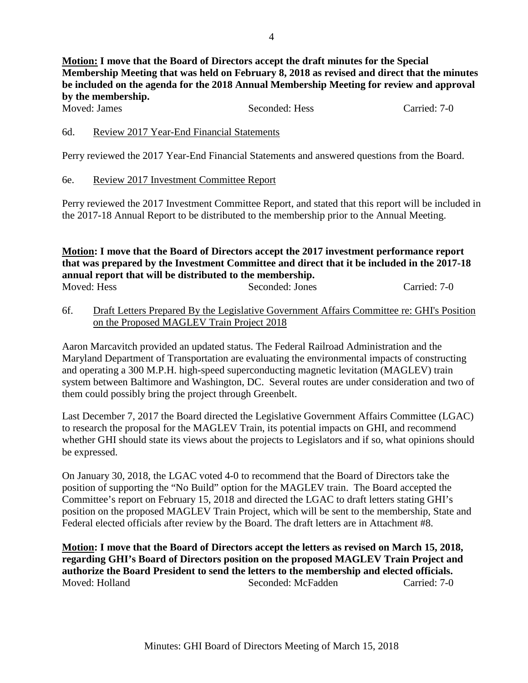**Motion: I move that the Board of Directors accept the draft minutes for the Special Membership Meeting that was held on February 8, 2018 as revised and direct that the minutes be included on the agenda for the 2018 Annual Membership Meeting for review and approval by the membership.**

#### 6d. Review 2017 Year-End Financial Statements

Perry reviewed the 2017 Year-End Financial Statements and answered questions from the Board.

#### 6e. Review 2017 Investment Committee Report

Perry reviewed the 2017 Investment Committee Report, and stated that this report will be included in the 2017-18 Annual Report to be distributed to the membership prior to the Annual Meeting.

#### **Motion: I move that the Board of Directors accept the 2017 investment performance report that was prepared by the Investment Committee and direct that it be included in the 2017-18 annual report that will be distributed to the membership.** Moved: Hess Seconded: Jones Carried: 7-0

6f. Draft Letters Prepared By the Legislative Government Affairs Committee re: GHI's Position on the Proposed MAGLEV Train Project 2018

Aaron Marcavitch provided an updated status. The Federal Railroad Administration and the Maryland Department of Transportation are evaluating the environmental impacts of constructing and operating a 300 M.P.H. high-speed superconducting magnetic levitation (MAGLEV) train system between Baltimore and Washington, DC. Several routes are under consideration and two of them could possibly bring the project through Greenbelt.

Last December 7, 2017 the Board directed the Legislative Government Affairs Committee (LGAC) to research the proposal for the MAGLEV Train, its potential impacts on GHI, and recommend whether GHI should state its views about the projects to Legislators and if so, what opinions should be expressed.

On January 30, 2018, the LGAC voted 4-0 to recommend that the Board of Directors take the position of supporting the "No Build" option for the MAGLEV train. The Board accepted the Committee's report on February 15, 2018 and directed the LGAC to draft letters stating GHI's position on the proposed MAGLEV Train Project, which will be sent to the membership, State and Federal elected officials after review by the Board. The draft letters are in Attachment #8.

**Motion: I move that the Board of Directors accept the letters as revised on March 15, 2018, regarding GHI's Board of Directors position on the proposed MAGLEV Train Project and authorize the Board President to send the letters to the membership and elected officials.**  Seconded: McFadden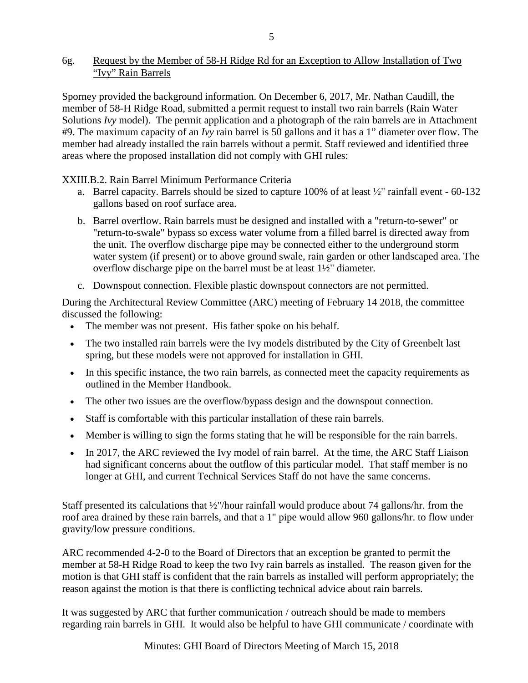### 6g. Request by the Member of 58-H Ridge Rd for an Exception to Allow Installation of Two "Ivy" Rain Barrels

Sporney provided the background information. On December 6, 2017, Mr. Nathan Caudill, the member of 58-H Ridge Road, submitted a permit request to install two rain barrels (Rain Water Solutions *Ivy* model). The permit application and a photograph of the rain barrels are in Attachment #9. The maximum capacity of an *Ivy* rain barrel is 50 gallons and it has a 1" diameter over flow. The member had already installed the rain barrels without a permit. Staff reviewed and identified three areas where the proposed installation did not comply with GHI rules:

XXIII.B.2. Rain Barrel Minimum Performance Criteria

- a. Barrel capacity. Barrels should be sized to capture  $100\%$  of at least  $\frac{1}{2}$ " rainfall event 60-132 gallons based on roof surface area.
- b. Barrel overflow. Rain barrels must be designed and installed with a "return-to-sewer" or "return-to-swale" bypass so excess water volume from a filled barrel is directed away from the unit. The overflow discharge pipe may be connected either to the underground storm water system (if present) or to above ground swale, rain garden or other landscaped area. The overflow discharge pipe on the barrel must be at least 1½" diameter.
- c. Downspout connection. Flexible plastic downspout connectors are not permitted.

During the Architectural Review Committee (ARC) meeting of February 14 2018, the committee discussed the following:

- The member was not present. His father spoke on his behalf.
- The two installed rain barrels were the Ivy models distributed by the City of Greenbelt last spring, but these models were not approved for installation in GHI.
- In this specific instance, the two rain barrels, as connected meet the capacity requirements as outlined in the Member Handbook.
- The other two issues are the overflow/bypass design and the downspout connection.
- Staff is comfortable with this particular installation of these rain barrels.
- Member is willing to sign the forms stating that he will be responsible for the rain barrels.
- In 2017, the ARC reviewed the Ivy model of rain barrel. At the time, the ARC Staff Liaison had significant concerns about the outflow of this particular model. That staff member is no longer at GHI, and current Technical Services Staff do not have the same concerns.

Staff presented its calculations that ½"/hour rainfall would produce about 74 gallons/hr. from the roof area drained by these rain barrels, and that a 1" pipe would allow 960 gallons/hr. to flow under gravity/low pressure conditions.

ARC recommended 4-2-0 to the Board of Directors that an exception be granted to permit the member at 58-H Ridge Road to keep the two Ivy rain barrels as installed. The reason given for the motion is that GHI staff is confident that the rain barrels as installed will perform appropriately; the reason against the motion is that there is conflicting technical advice about rain barrels.

It was suggested by ARC that further communication / outreach should be made to members regarding rain barrels in GHI. It would also be helpful to have GHI communicate / coordinate with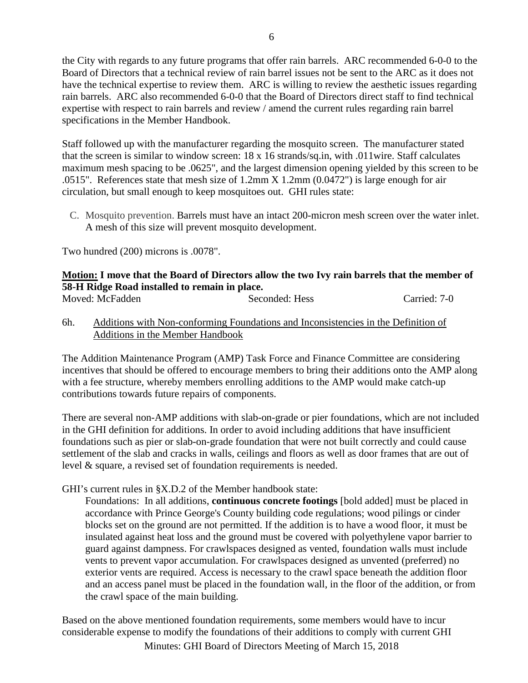the City with regards to any future programs that offer rain barrels. ARC recommended 6-0-0 to the Board of Directors that a technical review of rain barrel issues not be sent to the ARC as it does not have the technical expertise to review them. ARC is willing to review the aesthetic issues regarding rain barrels. ARC also recommended 6-0-0 that the Board of Directors direct staff to find technical expertise with respect to rain barrels and review / amend the current rules regarding rain barrel specifications in the Member Handbook.

Staff followed up with the manufacturer regarding the mosquito screen. The manufacturer stated that the screen is similar to window screen: 18 x 16 strands/sq.in, with .011wire. Staff calculates maximum mesh spacing to be .0625", and the largest dimension opening yielded by this screen to be .0515". References state that mesh size of 1.2mm X 1.2mm (0.0472") is large enough for air circulation, but small enough to keep mosquitoes out. GHI rules state:

C. Mosquito prevention. Barrels must have an intact 200-micron mesh screen over the water inlet. A mesh of this size will prevent mosquito development.

Two hundred (200) microns is .0078".

#### **Motion: I move that the Board of Directors allow the two Ivy rain barrels that the member of 58-H Ridge Road installed to remain in place.**

| Moved: McFadden | Seconded: Hess | Carried: 7-0 |
|-----------------|----------------|--------------|
|                 |                |              |

6h. Additions with Non-conforming Foundations and Inconsistencies in the Definition of Additions in the Member Handbook

The Addition Maintenance Program (AMP) Task Force and Finance Committee are considering incentives that should be offered to encourage members to bring their additions onto the AMP along with a fee structure, whereby members enrolling additions to the AMP would make catch-up contributions towards future repairs of components.

There are several non-AMP additions with slab-on-grade or pier foundations, which are not included in the GHI definition for additions. In order to avoid including additions that have insufficient foundations such as pier or slab-on-grade foundation that were not built correctly and could cause settlement of the slab and cracks in walls, ceilings and floors as well as door frames that are out of level & square, a revised set of foundation requirements is needed.

GHI's current rules in §X.D.2 of the Member handbook state:

Foundations: In all additions, **continuous concrete footings** [bold added] must be placed in accordance with Prince George's County building code regulations; wood pilings or cinder blocks set on the ground are not permitted. If the addition is to have a wood floor, it must be insulated against heat loss and the ground must be covered with polyethylene vapor barrier to guard against dampness. For crawlspaces designed as vented, foundation walls must include vents to prevent vapor accumulation. For crawlspaces designed as unvented (preferred) no exterior vents are required. Access is necessary to the crawl space beneath the addition floor and an access panel must be placed in the foundation wall, in the floor of the addition, or from the crawl space of the main building.

Based on the above mentioned foundation requirements, some members would have to incur considerable expense to modify the foundations of their additions to comply with current GHI

6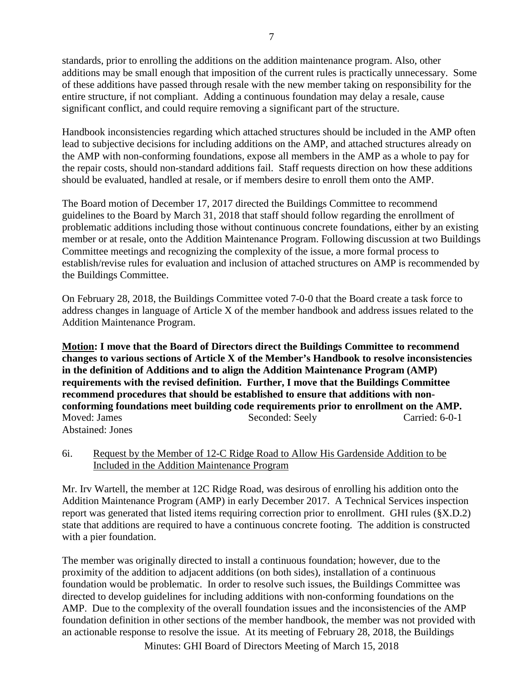standards, prior to enrolling the additions on the addition maintenance program. Also, other additions may be small enough that imposition of the current rules is practically unnecessary. Some of these additions have passed through resale with the new member taking on responsibility for the entire structure, if not compliant. Adding a continuous foundation may delay a resale, cause significant conflict, and could require removing a significant part of the structure.

Handbook inconsistencies regarding which attached structures should be included in the AMP often lead to subjective decisions for including additions on the AMP, and attached structures already on the AMP with non-conforming foundations, expose all members in the AMP as a whole to pay for the repair costs, should non-standard additions fail. Staff requests direction on how these additions should be evaluated, handled at resale, or if members desire to enroll them onto the AMP.

The Board motion of December 17, 2017 directed the Buildings Committee to recommend guidelines to the Board by March 31, 2018 that staff should follow regarding the enrollment of problematic additions including those without continuous concrete foundations, either by an existing member or at resale, onto the Addition Maintenance Program. Following discussion at two Buildings Committee meetings and recognizing the complexity of the issue, a more formal process to establish/revise rules for evaluation and inclusion of attached structures on AMP is recommended by the Buildings Committee.

On February 28, 2018, the Buildings Committee voted 7-0-0 that the Board create a task force to address changes in language of Article X of the member handbook and address issues related to the Addition Maintenance Program.

**Motion: I move that the Board of Directors direct the Buildings Committee to recommend changes to various sections of Article X of the Member's Handbook to resolve inconsistencies in the definition of Additions and to align the Addition Maintenance Program (AMP) requirements with the revised definition. Further, I move that the Buildings Committee recommend procedures that should be established to ensure that additions with nonconforming foundations meet building code requirements prior to enrollment on the AMP.**  Moved: James Seconded: Seely Carried: 6-0-1 Abstained: Jones

### 6i. Request by the Member of 12-C Ridge Road to Allow His Gardenside Addition to be Included in the Addition Maintenance Program

Mr. Irv Wartell, the member at 12C Ridge Road, was desirous of enrolling his addition onto the Addition Maintenance Program (AMP) in early December 2017. A Technical Services inspection report was generated that listed items requiring correction prior to enrollment. GHI rules (§X.D.2) state that additions are required to have a continuous concrete footing. The addition is constructed with a pier foundation.

The member was originally directed to install a continuous foundation; however, due to the proximity of the addition to adjacent additions (on both sides), installation of a continuous foundation would be problematic. In order to resolve such issues, the Buildings Committee was directed to develop guidelines for including additions with non-conforming foundations on the AMP. Due to the complexity of the overall foundation issues and the inconsistencies of the AMP foundation definition in other sections of the member handbook, the member was not provided with an actionable response to resolve the issue. At its meeting of February 28, 2018, the Buildings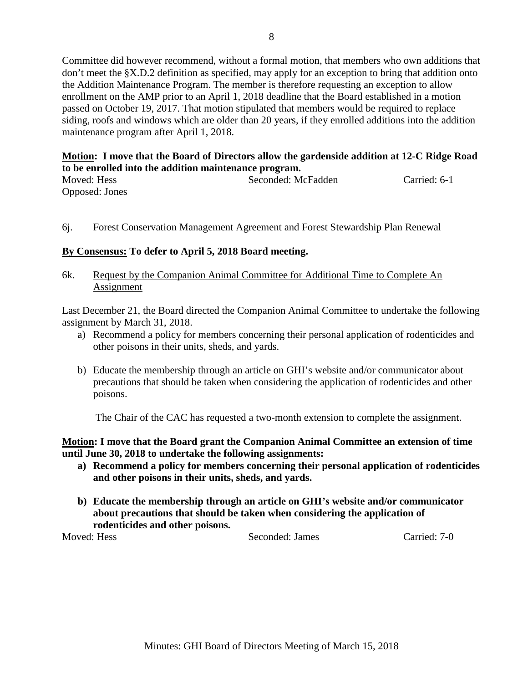Committee did however recommend, without a formal motion, that members who own additions that don't meet the §X.D.2 definition as specified, may apply for an exception to bring that addition onto the Addition Maintenance Program. The member is therefore requesting an exception to allow enrollment on the AMP prior to an April 1, 2018 deadline that the Board established in a motion passed on October 19, 2017. That motion stipulated that members would be required to replace siding, roofs and windows which are older than 20 years, if they enrolled additions into the addition maintenance program after April 1, 2018.

## **Motion: I move that the Board of Directors allow the gardenside addition at 12-C Ridge Road to be enrolled into the addition maintenance program.**

| Moved: Hess    | Seconded: McFadden | Carried: 6-1 |
|----------------|--------------------|--------------|
| Opposed: Jones |                    |              |

### 6j. Forest Conservation Management Agreement and Forest Stewardship Plan Renewal

# **By Consensus: To defer to April 5, 2018 Board meeting.**

#### 6k. Request by the Companion Animal Committee for Additional Time to Complete An Assignment

Last December 21, the Board directed the Companion Animal Committee to undertake the following assignment by March 31, 2018.

- a) Recommend a policy for members concerning their personal application of rodenticides and other poisons in their units, sheds, and yards.
- b) Educate the membership through an article on GHI's website and/or communicator about precautions that should be taken when considering the application of rodenticides and other poisons.

The Chair of the CAC has requested a two-month extension to complete the assignment.

### **Motion: I move that the Board grant the Companion Animal Committee an extension of time until June 30, 2018 to undertake the following assignments:**

- **a) Recommend a policy for members concerning their personal application of rodenticides and other poisons in their units, sheds, and yards.**
- **b) Educate the membership through an article on GHI's website and/or communicator about precautions that should be taken when considering the application of rodenticides and other poisons.**

Moved: Hess Seconded: James Carried: 7-0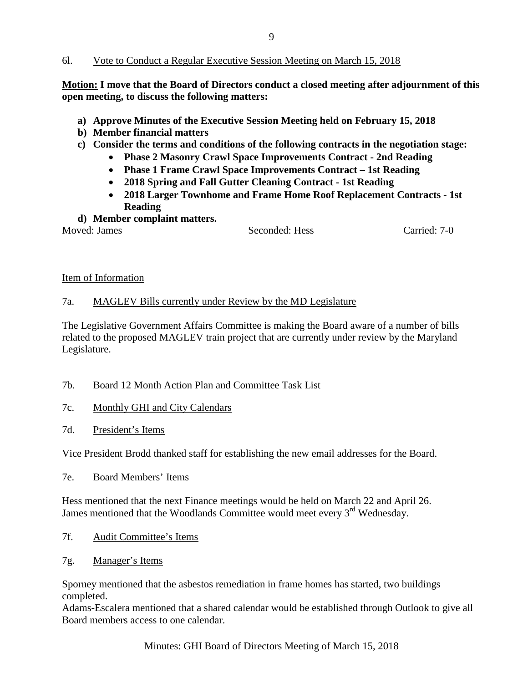#### 6l. Vote to Conduct a Regular Executive Session Meeting on March 15, 2018

**Motion: I move that the Board of Directors conduct a closed meeting after adjournment of this open meeting, to discuss the following matters:**

- **a) Approve Minutes of the Executive Session Meeting held on February 15, 2018**
- **b) Member financial matters**
- **c) Consider the terms and conditions of the following contracts in the negotiation stage:**
	- **Phase 2 Masonry Crawl Space Improvements Contract - 2nd Reading**
	- **Phase 1 Frame Crawl Space Improvements Contract – 1st Reading**
	- **2018 Spring and Fall Gutter Cleaning Contract - 1st Reading**
	- **2018 Larger Townhome and Frame Home Roof Replacement Contracts - 1st Reading**
- **d) Member complaint matters.**

Moved: James Seconded: Hess Carried: 7-0

#### Item of Information

### 7a. MAGLEV Bills currently under Review by the MD Legislature

The Legislative Government Affairs Committee is making the Board aware of a number of bills related to the proposed MAGLEV train project that are currently under review by the Maryland Legislature.

- 7b. Board 12 Month Action Plan and Committee Task List
- 7c. Monthly GHI and City Calendars
- 7d. President's Items

Vice President Brodd thanked staff for establishing the new email addresses for the Board.

7e. Board Members' Items

Hess mentioned that the next Finance meetings would be held on March 22 and April 26. James mentioned that the Woodlands Committee would meet every 3<sup>rd</sup> Wednesday.

- 7f. Audit Committee's Items
- 7g. Manager's Items

Sporney mentioned that the asbestos remediation in frame homes has started, two buildings completed.

Adams-Escalera mentioned that a shared calendar would be established through Outlook to give all Board members access to one calendar.